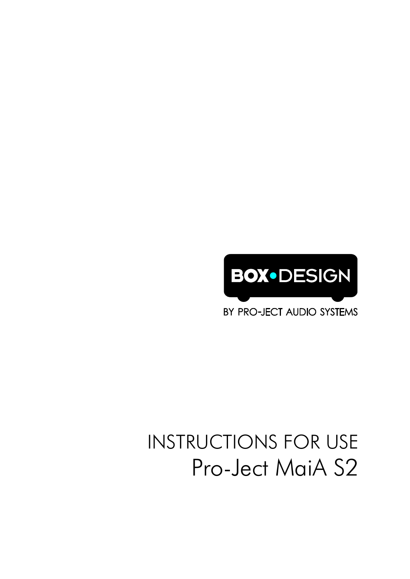

BY PRO-JECT AUDIO SYSTEMS

# INSTRUCTIONS FOR USE Pro-Ject MaiA S2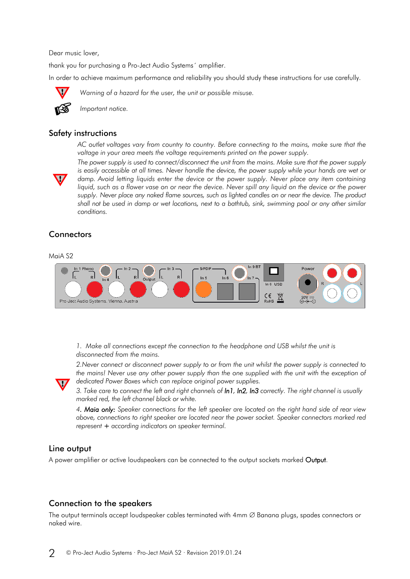Dear music lover,

thank you for purchasing a Pro-Ject Audio Systems´ amplifier.

In order to achieve maximum performance and reliability you should study these instructions for use carefully.

*Warning of a hazard for the user, the unit or possible misuse.*



*Important notice.*

#### Safety instructions

*AC outlet voltages vary from country to country. Before connecting to the mains, make sure that the voltage in your area meets the voltage requirements printed on the power supply.*



*The power supply is used to connect/disconnect the unit from the mains. Make sure that the power supply is easily accessible at all times. Never handle the device, the power supply while your hands are wet or damp. Avoid letting liquids enter the device or the power supply. Never place any item containing liquid, such as a flower vase on or near the device. Never spill any liquid on the device or the power* supply. Never place any naked flame sources, such as lighted candles on or near the device. The product *shall not be used in damp or wet locations, next to a bathtub, sink, swimming pool or any other similar conditions.*

# **Connectors**

#### MaiA S2



*1. Make all connections except the connection to the headphone and USB whilst the unit is disconnected from the mains.*

*2.Never connect or disconnect power supply to or from the unit whilst the power supply is connected to the mains! Never use any other power supply than the one supplied with the unit with the exception of dedicated Power Boxes which can replace original power supplies.* 

*3. Take care to connect the left and right channels of In1, In2, In3 correctly. The right channel is usually marked red, the left channel black or white.*

*4. Maia only: Speaker connections for the left speaker are located on the right hand side of rear view above, connections to right speaker are located near the power socket. Speaker connectors marked red represent + according indicators on speaker terminal.* 

#### Line output

A power amplifier or active loudspeakers can be connected to the output sockets marked Output.

## Connection to the speakers

The output terminals accept loudspeaker cables terminated with  $4$ mm  $\varnothing$  Banana plugs, spades connectors or naked wire.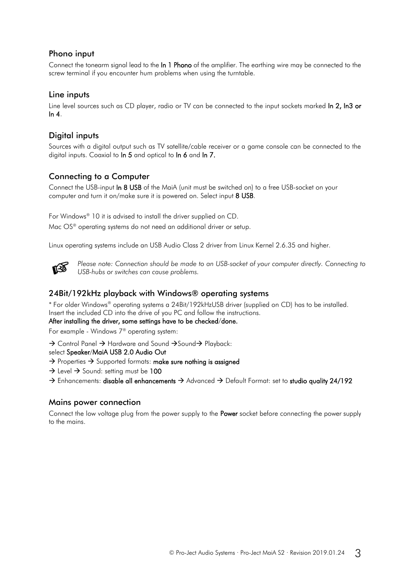# Phono input

Connect the tonearm signal lead to the In 1 Phono of the amplifier. The earthing wire may be connected to the screw terminal if you encounter hum problems when using the turntable.

### Line inputs

Line level sources such as CD player, radio or TV can be connected to the input sockets marked In 2, In3 or  $ln 4$ .

# Digital inputs

Sources with a digital output such as TV satellite/cable receiver or a game console can be connected to the digital inputs. Coaxial to In 5 and optical to In 6 and In 7.

# Connecting to a Computer

Connect the USB-input In 8 USB of the MaiA (unit must be switched on) to a free USB-socket on your computer and turn it on/make sure it is powered on. Select input 8 USB.

For Windows® 10 it is advised to install the driver supplied on CD. Mac OS<sup>®</sup> operating systems do not need an additional driver or setup.

Linux operating systems include an USB Audio Class 2 driver from Linux Kernel 2.6.35 and higher.



*Please note: Connection should be made to an USB-socket of your computer directly. Connecting to USB-hubs or switches can cause problems.*

## 24Bit/192kHz playback with Windows® operating systems

\* For older Windows® operating systems a 24Bit/192kHzUSB driver (supplied on CD) has to be installed. Insert the included CD into the drive of you PC and follow the instructions.

#### After installing the driver, some settings have to be checked/done.

For example - Windows 7® operating system:

 $\rightarrow$  Control Panel  $\rightarrow$  Hardware and Sound  $\rightarrow$  Sound  $\rightarrow$  Playback:

select Speaker/MaiA USB 2.0 Audio Out

- $\rightarrow$  Properties  $\rightarrow$  Supported formats: make sure nothing is assigned
- $\rightarrow$  Level  $\rightarrow$  Sound: setting must be 100
- $\rightarrow$  Enhancements: disable all enhancements  $\rightarrow$  Advanced  $\rightarrow$  Default Format: set to studio quality 24/192

#### Mains power connection

Connect the low voltage plug from the power supply to the **Power** socket before connecting the power supply to the mains.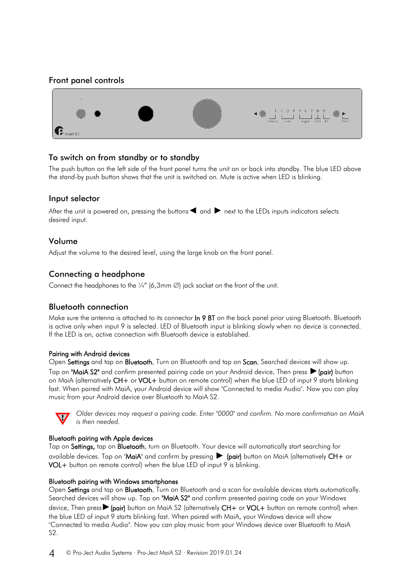## Front panel controls



## To switch on from standby or to standby

The push button on the left side of the front panel turns the unit on or back into standby. The blue LED above the stand-by push button shows that the unit is switched on. Mute is active when LED is blinking.

#### Input selector

After the unit is powered on, pressing the buttons  $\blacktriangleleft$  and  $\blacktriangleright$  next to the LEDs inputs indicators selects desired input.

#### Volume

Adjust the volume to the desired level, using the large knob on the front panel.

# Connecting a headphone

Connect the headphones to the  $\frac{1}{4}$ " (6,3mm  $\emptyset$ ) jack socket on the front of the unit.

## Bluetooth connection

Make sure the antenna is attached to its connector **In 9 BT** on the back panel prior using Bluetooth. Bluetooth is active only when input 9 is selected. LED of Bluetooth input is blinking slowly when no device is connected. If the LED is on, active connection with Bluetooth device is established.

#### Pairing with Android devices

Open Settings and tap on Bluetooth. Turn on Bluetooth and tap on Scan. Searched devices will show up. Tap on "MaiA S2" and confirm presented pairing code on your Android device. Then press ► (pair) button on MaiA (alternatively CH+ or VOL+ button on remote control) when the blue LED of input 9 starts blinking fast. When paired with MaiA, your Android device will show "Connected to media Audio". Now you can play music from your Android device over Bluetooth to MaiA S2.



*Older devices may request a pairing code. Enter "0000" and confirm. No more confirmation on MaiA is then needed.*

#### Bluetooth pairing with Apple devices

Tap on Settings, tap on Bluetooth, turn on Bluetooth. Your device will automatically start searching for available devices. Tap on "MaiA" and confirm by pressing ► (pair) button on MaiA (alternatively CH+ or VOL+ button on remote control) when the blue LED of input 9 is blinking.

#### Bluetooth pairing with Windows smartphones

Open Settings and tap on Bluetooth. Turn on Bluetooth and a scan for available devices starts automatically. Searched devices will show up. Tap on "MaiA S2" and confirm presented pairing code on your Windows device. Then press▶(pair) button on MaiA S2 (alternatively CH+ or VOL+ button on remote control) when the blue LED of input 9 starts blinking fast. When paired with MaiA, your Windows device will show "Connected to media Audio". Now you can play music from your Windows device over Bluetooth to MaiA S2.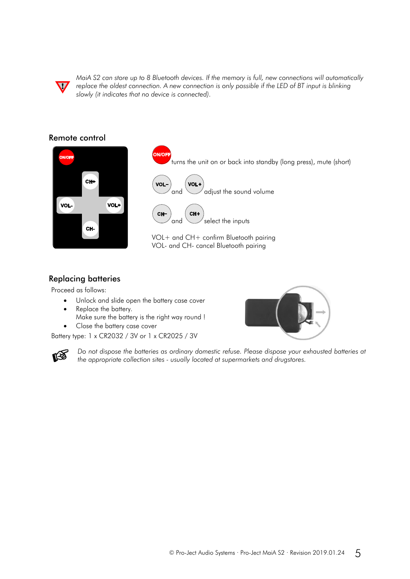

*MaiA S2 can store up to 8 Bluetooth devices. If the memory is full, new connections will automatically replace the oldest connection. A new connection is only possible if the LED of BT input is blinking slowly (it indicates that no device is connected).*

#### Remote control



turns the unit on or back into standby (long press), mute (short) VOL VOL and  $\bigcup$  adjust the sound volume CHand  $\bigvee$  select the inputs VOL+ and CH+ confirm Bluetooth pairing VOL- and CH- cancel Bluetooth pairing

# Replacing batteries

Proceed as follows:

(2)

- Unlock and slide open the battery case cover
- Replace the battery.
- Make sure the battery is the right way round ! Close the battery case cover

Battery type: 1 x CR2032 / 3V or 1 x CR2025 / 3V



*Do not dispose the batteries as ordinary domestic refuse. Please dispose your exhausted batteries at the appropriate collection sites - usually located at supermarkets and drugstores.*